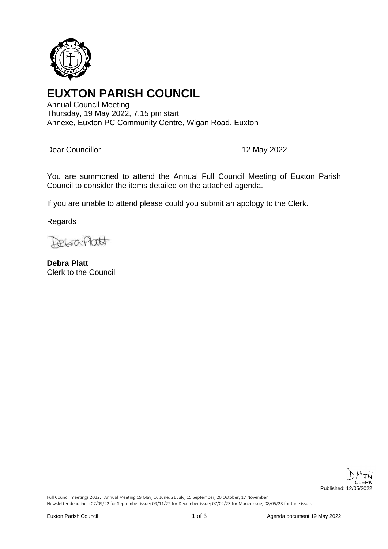

# **EUXTON PARISH COUNCIL**

Annual Council Meeting Thursday, 19 May 2022, 7.15 pm start Annexe, Euxton PC Community Centre, Wigan Road, Euxton

Dear Councillor **12 May 2022** 

You are summoned to attend the Annual Full Council Meeting of Euxton Parish Council to consider the items detailed on the attached agenda.

If you are unable to attend please could you submit an apology to the Clerk.

Regards

Debraflatt

**Debra Platt** Clerk to the Council



Full Council meetings 2022: Annual Meeting 19 May, 16 June, 21 July, 15 September, 20 October, 17 November Newsletter deadlines: 07/09/22 for September issue; 09/11/22 for December issue; 07/02/23 for March issue; 08/05/23 for June issue.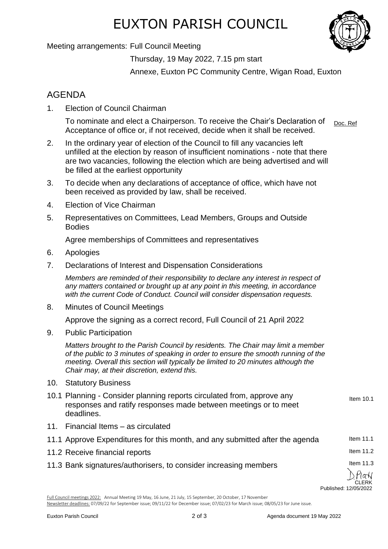# EUXTON PARISH COUNCIL

Meeting arrangements: Full Council Meeting

Thursday, 19 May 2022, 7.15 pm start

Annexe, Euxton PC Community Centre, Wigan Road, Euxton

### AGENDA

1. Election of Council Chairman

To nominate and elect a Chairperson. To receive the Chair's Declaration of Acceptance of office or, if not received, decide when it shall be received. Doc. Ref

- 2. In the ordinary year of election of the Council to fill any vacancies left unfilled at the election by reason of insufficient nominations - note that there are two vacancies, following the election which are being advertised and will be filled at the earliest opportunity
- 3. To decide when any declarations of acceptance of office, which have not been received as provided by law, shall be received.
- 4. Election of Vice Chairman
- 5. Representatives on Committees, Lead Members, Groups and Outside Bodies

Agree memberships of Committees and representatives

- 6. Apologies
- 7. Declarations of Interest and Dispensation Considerations

*Members are reminded of their responsibility to declare any interest in respect of any matters contained or brought up at any point in this meeting, in accordance with the current Code of Conduct. Council will consider dispensation requests.*

8. Minutes of Council Meetings

Approve the signing as a correct record, Full Council of 21 April 2022

9. Public Participation

*Matters brought to the Parish Council by residents. The Chair may limit a member of the public to 3 minutes of speaking in order to ensure the smooth running of the meeting. Overall this section will typically be limited to 20 minutes although the Chair may, at their discretion, extend this.*

- 10. Statutory Business
- 10.1 Planning Consider planning reports circulated from, approve any responses and ratify responses made between meetings or to meet deadlines.
- 11. Financial Items as circulated
- 11.1 Approve Expenditures for this month, and any submitted after the agenda
- 11.2 Receive financial reports
- 11.3 Bank signatures/authorisers, to consider increasing members

Item 10.1

Item 11.1

Item 11.2

Item 11.3

) Platv CLERK Published: 12/05/2022

Full Council meetings 2022: Annual Meeting 19 May, 16 June, 21 July, 15 September, 20 October, 17 November Newsletter deadlines: 07/09/22 for September issue; 09/11/22 for December issue; 07/02/23 for March issue; 08/05/23 for June issue.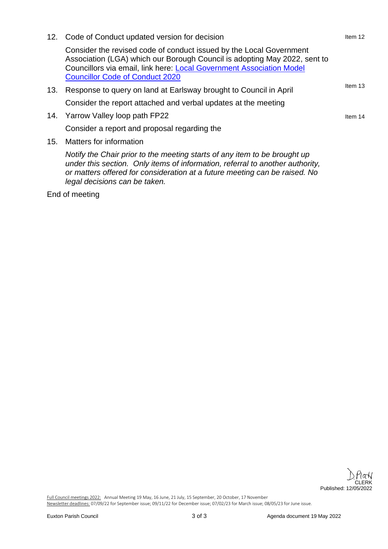|     | 12. Code of Conduct updated version for decision                                                                                                                                                                                                                          | Item 12 |
|-----|---------------------------------------------------------------------------------------------------------------------------------------------------------------------------------------------------------------------------------------------------------------------------|---------|
|     | Consider the revised code of conduct issued by the Local Government<br>Association (LGA) which our Borough Council is adopting May 2022, sent to<br>Councillors via email, link here: Local Government Association Model<br><b>Councillor Code of Conduct 2020</b>        |         |
| 13. | Response to query on land at Earlsway brought to Council in April                                                                                                                                                                                                         | Item 13 |
|     | Consider the report attached and verbal updates at the meeting                                                                                                                                                                                                            |         |
|     | 14. Yarrow Valley loop path FP22                                                                                                                                                                                                                                          | Item 14 |
|     | Consider a report and proposal regarding the                                                                                                                                                                                                                              |         |
| 15. | Matters for information                                                                                                                                                                                                                                                   |         |
|     | Notify the Chair prior to the meeting starts of any item to be brought up<br>under this section. Only items of information, referral to another authority,<br>or matters offered for consideration at a future meeting can be raised. No<br>legal decisions can be taken. |         |

End of meeting

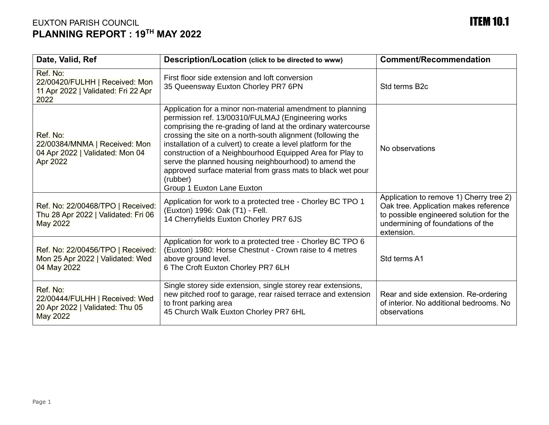### EUXTON PARISH COUNCIL **ITEM 10.1 PLANNING REPORT : 19TH MAY 2022**

| Date, Valid, Ref                                                                                 | Description/Location (click to be directed to www)                                                                                                                                                                                                                                                                                                                                                                                                                                                                                               | <b>Comment/Recommendation</b>                                                                                                                                                  |
|--------------------------------------------------------------------------------------------------|--------------------------------------------------------------------------------------------------------------------------------------------------------------------------------------------------------------------------------------------------------------------------------------------------------------------------------------------------------------------------------------------------------------------------------------------------------------------------------------------------------------------------------------------------|--------------------------------------------------------------------------------------------------------------------------------------------------------------------------------|
| Ref. No:<br>22/00420/FULHH   Received: Mon<br>11 Apr 2022   Validated: Fri 22 Apr<br>2022        | First floor side extension and loft conversion<br>35 Queensway Euxton Chorley PR7 6PN                                                                                                                                                                                                                                                                                                                                                                                                                                                            | Std terms B <sub>2c</sub>                                                                                                                                                      |
| Ref. No:<br>22/00384/MNMA   Received: Mon<br>04 Apr 2022   Validated: Mon 04<br><b>Apr 2022</b>  | Application for a minor non-material amendment to planning<br>permission ref. 13/00310/FULMAJ (Engineering works<br>comprising the re-grading of land at the ordinary watercourse<br>crossing the site on a north-south alignment (following the<br>installation of a culvert) to create a level platform for the<br>construction of a Neighbourhood Equipped Area for Play to<br>serve the planned housing neighbourhood) to amend the<br>approved surface material from grass mats to black wet pour<br>(rubber)<br>Group 1 Euxton Lane Euxton | No observations                                                                                                                                                                |
| Ref. No: 22/00468/TPO   Received:<br>Thu 28 Apr 2022   Validated: Fri 06<br><b>May 2022</b>      | Application for work to a protected tree - Chorley BC TPO 1<br>(Euxton) 1996: Oak (T1) - Fell.<br>14 Cherryfields Euxton Chorley PR7 6JS                                                                                                                                                                                                                                                                                                                                                                                                         | Application to remove 1) Cherry tree 2)<br>Oak tree. Application makes reference<br>to possible engineered solution for the<br>undermining of foundations of the<br>extension. |
| Ref. No: 22/00456/TPO   Received:<br>Mon 25 Apr 2022   Validated: Wed<br>04 May 2022             | Application for work to a protected tree - Chorley BC TPO 6<br>(Euxton) 1980: Horse Chestnut - Crown raise to 4 metres<br>above ground level.<br>6 The Croft Euxton Chorley PR7 6LH                                                                                                                                                                                                                                                                                                                                                              | Std terms A1                                                                                                                                                                   |
| Ref. No:<br>22/00444/FULHH   Received: Wed<br>20 Apr 2022   Validated: Thu 05<br><b>May 2022</b> | Single storey side extension, single storey rear extensions,<br>new pitched roof to garage, rear raised terrace and extension<br>to front parking area<br>45 Church Walk Euxton Chorley PR7 6HL                                                                                                                                                                                                                                                                                                                                                  | Rear and side extension. Re-ordering<br>of interior. No additional bedrooms. No<br>observations                                                                                |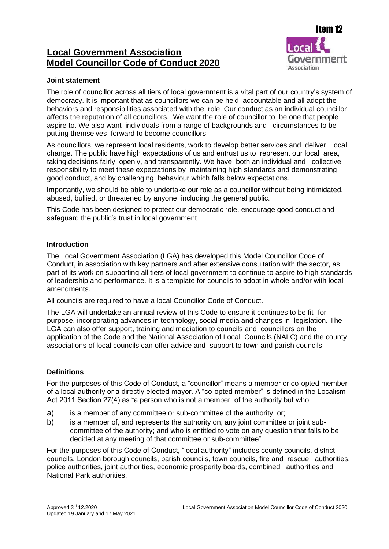### **Local Government Association Model Councillor Code of Conduct 2020**



#### **Joint statement**

The role of councillor across all tiers of local government is a vital part of our country's system of democracy. It is important that as councillors we can be held accountable and all adopt the behaviors and responsibilities associated with the role. Our conduct as an individual councillor affects the reputation of all councillors. We want the role of councillor to be one that people aspire to. We also want individuals from a range of backgrounds and circumstances to be putting themselves forward to become councillors.

As councillors, we represent local residents, work to develop better services and deliver local change. The public have high expectations of us and entrust us to represent our local area, taking decisions fairly, openly, and transparently. We have both an individual and collective responsibility to meet these expectations by maintaining high standards and demonstrating good conduct, and by challenging behaviour which falls below expectations.

Importantly, we should be able to undertake our role as a councillor without being intimidated, abused, bullied, or threatened by anyone, including the general public.

This Code has been designed to protect our democratic role, encourage good conduct and safeguard the public's trust in local government.

#### **Introduction**

The Local Government Association (LGA) has developed this Model Councillor Code of Conduct, in association with key partners and after extensive consultation with the sector, as part of its work on supporting all tiers of local government to continue to aspire to high standards of leadership and performance. It is a template for councils to adopt in whole and/or with local amendments.

All councils are required to have a local Councillor Code of Conduct.

The LGA will undertake an annual review of this Code to ensure it continues to be fit- forpurpose, incorporating advances in technology, social media and changes in legislation. The LGA can also offer support, training and mediation to councils and councillors on the application of the Code and the National Association of Local Councils (NALC) and the county associations of local councils can offer advice and support to town and parish councils.

#### **Definitions**

For the purposes of this Code of Conduct, a "councillor" means a member or co-opted member of a local authority or a directly elected mayor. A "co-opted member" is defined in the Localism Act 2011 Section 27(4) as "a person who is not a member of the authority but who

- a) is a member of any committee or sub-committee of the authority, or;
- b) is a member of, and represents the authority on, any joint committee or joint subcommittee of the authority; and who is entitled to vote on any question that falls to be decided at any meeting of that committee or sub-committee".

For the purposes of this Code of Conduct, "local authority" includes county councils, district councils, London borough councils, parish councils, town councils, fire and rescue authorities, police authorities, joint authorities, economic prosperity boards, combined authorities and National Park authorities.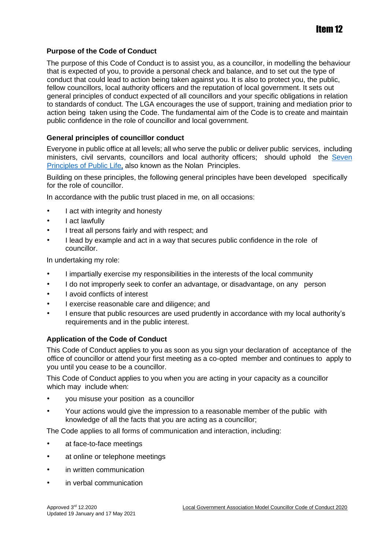#### **Purpose of the Code of Conduct**

The purpose of this Code of Conduct is to assist you, as a councillor, in modelling the behaviour that is expected of you, to provide a personal check and balance, and to set out the type of conduct that could lead to action being taken against you. It is also to protect you, the public, fellow councillors, local authority officers and the reputation of local government. It sets out general principles of conduct expected of all councillors and your specific obligations in relation to standards of conduct. The LGA encourages the use of support, training and mediation prior to action being taken using the Code. The fundamental aim of the Code is to create and maintain public confidence in the role of councillor and local government.

#### **General principles of councillor conduct**

Everyone in public office at all levels; all who serve the public or deliver public services, including ministers, civil servants, councillors and local authority officers; should uphold th[e](https://www.gov.uk/government/publications/the-7-principles-of-public-life/the-7-principles-of-public-life--2) [Seven](https://www.gov.uk/government/publications/the-7-principles-of-public-life/the-7-principles-of-public-life--2) [Principles of Public Life,](https://www.gov.uk/government/publications/the-7-principles-of-public-life/the-7-principles-of-public-life--2) [a](https://www.gov.uk/government/publications/the-7-principles-of-public-life/the-7-principles-of-public-life--2)lso known as the Nolan Principles.

Building on these principles, the following general principles have been developed specifically for the role of councillor.

In accordance with the public trust placed in me, on all occasions:

- I act with integrity and honesty
- I act lawfully
- I treat all persons fairly and with respect; and
- I lead by example and act in a way that secures public confidence in the role of councillor.

In undertaking my role:

- I impartially exercise my responsibilities in the interests of the local community
- I do not improperly seek to confer an advantage, or disadvantage, on any person
- I avoid conflicts of interest
- I exercise reasonable care and diligence; and
- I ensure that public resources are used prudently in accordance with my local authority's requirements and in the public interest.

#### **Application of the Code of Conduct**

This Code of Conduct applies to you as soon as you sign your declaration of acceptance of the office of councillor or attend your first meeting as a co-opted member and continues to apply to you until you cease to be a councillor.

This Code of Conduct applies to you when you are acting in your capacity as a councillor which may include when:

- you misuse your position as a councillor
- Your actions would give the impression to a reasonable member of the public with knowledge of all the facts that you are acting as a councillor;

The Code applies to all forms of communication and interaction, including:

- at face-to-face meetings
- at online or telephone meetings
- in written communication
- in verbal communication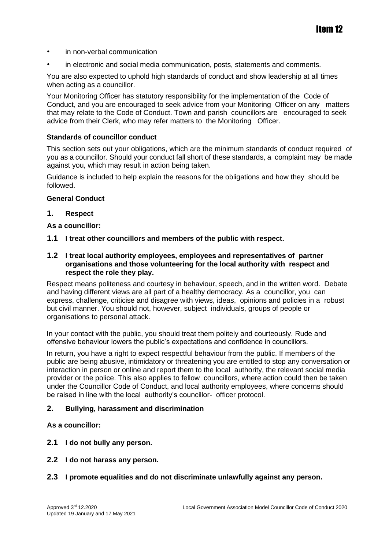- in non-verbal communication
- in electronic and social media communication, posts, statements and comments.

You are also expected to uphold high standards of conduct and show leadership at all times when acting as a councillor.

Your Monitoring Officer has statutory responsibility for the implementation of the Code of Conduct, and you are encouraged to seek advice from your Monitoring Officer on any matters that may relate to the Code of Conduct. Town and parish councillors are encouraged to seek advice from their Clerk, who may refer matters to the Monitoring Officer.

#### **Standards of councillor conduct**

This section sets out your obligations, which are the minimum standards of conduct required of you as a councillor. Should your conduct fall short of these standards, a complaint may be made against you, which may result in action being taken.

Guidance is included to help explain the reasons for the obligations and how they should be followed.

#### **General Conduct**

#### **1. Respect**

#### **As a councillor:**

**1.1 I treat other councillors and members of the public with respect.**

#### **1.2 I treat local authority employees, employees and representatives of partner organisations and those volunteering for the local authority with respect and respect the role they play.**

Respect means politeness and courtesy in behaviour, speech, and in the written word. Debate and having different views are all part of a healthy democracy. As a councillor, you can express, challenge, criticise and disagree with views, ideas, opinions and policies in a robust but civil manner. You should not, however, subject individuals, groups of people or organisations to personal attack.

In your contact with the public, you should treat them politely and courteously. Rude and offensive behaviour lowers the public's expectations and confidence in councillors.

In return, you have a right to expect respectful behaviour from the public. If members of the public are being abusive, intimidatory or threatening you are entitled to stop any conversation or interaction in person or online and report them to the local authority, the relevant social media provider or the police. This also applies to fellow councillors, where action could then be taken under the Councillor Code of Conduct, and local authority employees, where concerns should be raised in line with the local authority's councillor- officer protocol.

#### **2. Bullying, harassment and discrimination**

#### **As a councillor:**

- **2.1 I do not bully any person.**
- **2.2 I do not harass any person.**

#### **2.3 I promote equalities and do not discriminate unlawfully against any person.**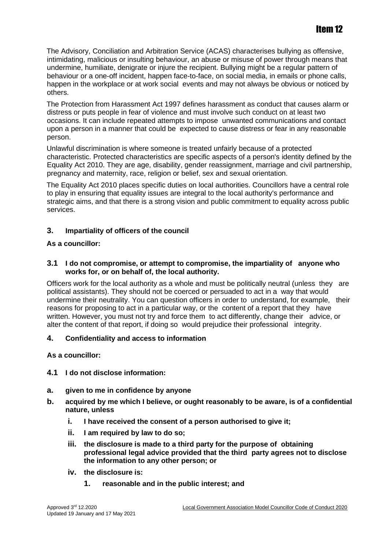The Advisory, Conciliation and Arbitration Service (ACAS) characterises bullying as offensive, intimidating, malicious or insulting behaviour, an abuse or misuse of power through means that undermine, humiliate, denigrate or injure the recipient. Bullying might be a regular pattern of behaviour or a one-off incident, happen face-to-face, on social media, in emails or phone calls, happen in the workplace or at work social events and may not always be obvious or noticed by others.

The Protection from Harassment Act 1997 defines harassment as conduct that causes alarm or distress or puts people in fear of violence and must involve such conduct on at least two occasions. It can include repeated attempts to impose unwanted communications and contact upon a person in a manner that could be expected to cause distress or fear in any reasonable person.

Unlawful discrimination is where someone is treated unfairly because of a protected characteristic. Protected characteristics are specific aspects of a person's identity defined by the Equality Act 2010. They are age, disability, gender reassignment, marriage and civil partnership, pregnancy and maternity, race, religion or belief, sex and sexual orientation.

The Equality Act 2010 places specific duties on local authorities. Councillors have a central role to play in ensuring that equality issues are integral to the local authority's performance and strategic aims, and that there is a strong vision and public commitment to equality across public services.

#### **3. Impartiality of officers of the council**

#### **As a councillor:**

#### **3.1 I do not compromise, or attempt to compromise, the impartiality of anyone who works for, or on behalf of, the local authority.**

Officers work for the local authority as a whole and must be politically neutral (unless they are political assistants). They should not be coerced or persuaded to act in a way that would undermine their neutrality. You can question officers in order to understand, for example, their reasons for proposing to act in a particular way, or the content of a report that they have written. However, you must not try and force them to act differently, change their advice, or alter the content of that report, if doing so would prejudice their professional integrity.

#### **4. Confidentiality and access to information**

#### **As a councillor:**

- **4.1 I do not disclose information:**
- **a. given to me in confidence by anyone**
- **b. acquired by me which I believe, or ought reasonably to be aware, is of a confidential nature, unless**
	- **i. I have received the consent of a person authorised to give it;**
	- **ii. I am required by law to do so;**
	- **iii. the disclosure is made to a third party for the purpose of obtaining professional legal advice provided that the third party agrees not to disclose the information to any other person; or**
	- **iv. the disclosure is:**
		- **1. reasonable and in the public interest; and**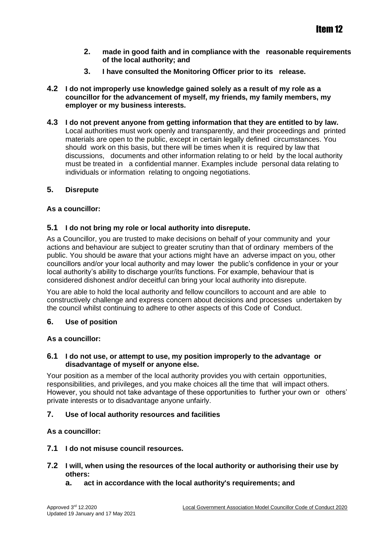- **2. made in good faith and in compliance with the reasonable requirements of the local authority; and**
- **3. I have consulted the Monitoring Officer prior to its release.**
- **4.2 I do not improperly use knowledge gained solely as a result of my role as a councillor for the advancement of myself, my friends, my family members, my employer or my business interests.**
- **4.3 I do not prevent anyone from getting information that they are entitled to by law.** Local authorities must work openly and transparently, and their proceedings and printed materials are open to the public, except in certain legally defined circumstances. You should work on this basis, but there will be times when it is required by law that discussions, documents and other information relating to or held by the local authority must be treated in a confidential manner. Examples include personal data relating to individuals or information relating to ongoing negotiations.

#### **5. Disrepute**

#### **As a councillor:**

#### **5.1 I do not bring my role or local authority into disrepute.**

As a Councillor, you are trusted to make decisions on behalf of your community and your actions and behaviour are subject to greater scrutiny than that of ordinary members of the public. You should be aware that your actions might have an adverse impact on you, other councillors and/or your local authority and may lower the public's confidence in your or your local authority's ability to discharge your/its functions. For example, behaviour that is considered dishonest and/or deceitful can bring your local authority into disrepute.

You are able to hold the local authority and fellow councillors to account and are able to constructively challenge and express concern about decisions and processes undertaken by the council whilst continuing to adhere to other aspects of this Code of Conduct.

#### **6. Use of position**

#### **As a councillor:**

#### **6.1 I do not use, or attempt to use, my position improperly to the advantage or disadvantage of myself or anyone else.**

Your position as a member of the local authority provides you with certain opportunities, responsibilities, and privileges, and you make choices all the time that will impact others. However, you should not take advantage of these opportunities to further your own or others' private interests or to disadvantage anyone unfairly.

#### **7. Use of local authority resources and facilities**

#### **As a councillor:**

- **7.1 I do not misuse council resources.**
- **7.2 I will, when using the resources of the local authority or authorising their use by others:**
	- **a. act in accordance with the local authority's requirements; and**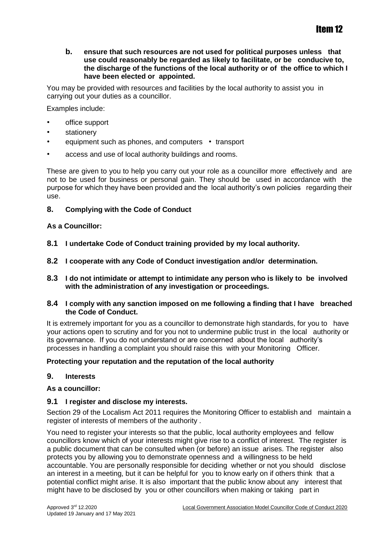#### **b. ensure that such resources are not used for political purposes unless that use could reasonably be regarded as likely to facilitate, or be conducive to, the discharge of the functions of the local authority or of the office to which I have been elected or appointed.**

You may be provided with resources and facilities by the local authority to assist you in carrying out your duties as a councillor.

Examples include:

- office support
- **stationery**
- equipment such as phones, and computers transport
- access and use of local authority buildings and rooms.

These are given to you to help you carry out your role as a councillor more effectively and are not to be used for business or personal gain. They should be used in accordance with the purpose for which they have been provided and the local authority's own policies regarding their use.

#### **8. Complying with the Code of Conduct**

#### **As a Councillor:**

- **8.1 I undertake Code of Conduct training provided by my local authority.**
- **8.2 I cooperate with any Code of Conduct investigation and/or determination.**
- **8.3 I do not intimidate or attempt to intimidate any person who is likely to be involved with the administration of any investigation or proceedings.**

#### **8.4 I comply with any sanction imposed on me following a finding that I have breached the Code of Conduct.**

It is extremely important for you as a councillor to demonstrate high standards, for you to have your actions open to scrutiny and for you not to undermine public trust in the local authority or its governance. If you do not understand or are concerned about the local authority's processes in handling a complaint you should raise this with your Monitoring Officer.

#### **Protecting your reputation and the reputation of the local authority**

#### **9. Interests**

#### **As a councillor:**

#### **9.1 I register and disclose my interests.**

Section 29 of the Localism Act 2011 requires the Monitoring Officer to establish and maintain a register of interests of members of the authority .

You need to register your interests so that the public, local authority employees and fellow councillors know which of your interests might give rise to a conflict of interest. The register is a public document that can be consulted when (or before) an issue arises. The register also protects you by allowing you to demonstrate openness and a willingness to be held accountable. You are personally responsible for deciding whether or not you should disclose an interest in a meeting, but it can be helpful for you to know early on if others think that a potential conflict might arise. It is also important that the public know about any interest that might have to be disclosed by you or other councillors when making or taking part in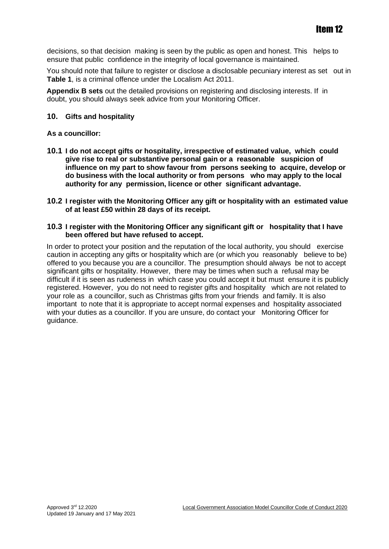decisions, so that decision making is seen by the public as open and honest. This helps to ensure that public confidence in the integrity of local governance is maintained.

You should note that failure to register or disclose a disclosable pecuniary interest as set out in **Table 1**, is a criminal offence under the Localism Act 2011.

**Appendix B sets** out the detailed provisions on registering and disclosing interests. If in doubt, you should always seek advice from your Monitoring Officer.

#### **10. Gifts and hospitality**

#### **As a councillor:**

- **10.1 I do not accept gifts or hospitality, irrespective of estimated value, which could give rise to real or substantive personal gain or a reasonable suspicion of influence on my part to show favour from persons seeking to acquire, develop or do business with the local authority or from persons who may apply to the local authority for any permission, licence or other significant advantage.**
- **10.2 I register with the Monitoring Officer any gift or hospitality with an estimated value of at least £50 within 28 days of its receipt.**

#### **10.3 I register with the Monitoring Officer any significant gift or hospitality that I have been offered but have refused to accept.**

In order to protect your position and the reputation of the local authority, you should exercise caution in accepting any gifts or hospitality which are (or which you reasonably believe to be) offered to you because you are a councillor. The presumption should always be not to accept significant gifts or hospitality. However, there may be times when such a refusal may be difficult if it is seen as rudeness in which case you could accept it but must ensure it is publicly registered. However, you do not need to register gifts and hospitality which are not related to your role as a councillor, such as Christmas gifts from your friends and family. It is also important to note that it is appropriate to accept normal expenses and hospitality associated with your duties as a councillor. If you are unsure, do contact your Monitoring Officer for guidance.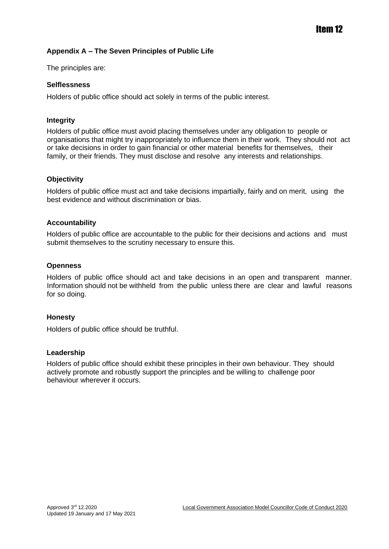#### **Appendix A – The Seven Principles of Public Life**

The principles are:

#### **Selflessness**

Holders of public office should act solely in terms of the public interest.

#### **Integrity**

Holders of public office must avoid placing themselves under any obligation to people or organisations that might try inappropriately to influence them in their work. They should not act or take decisions in order to gain financial or other material benefits for themselves, their family, or their friends. They must disclose and resolve any interests and relationships.

#### **Objectivity**

Holders of public office must act and take decisions impartially, fairly and on merit, using the best evidence and without discrimination or bias.

#### **Accountability**

Holders of public office are accountable to the public for their decisions and actions and must submit themselves to the scrutiny necessary to ensure this.

#### **Openness**

Holders of public office should act and take decisions in an open and transparent manner. Information should not be withheld from the public unless there are clear and lawful reasons for so doing.

#### **Honesty**

Holders of public office should be truthful.

#### **Leadership**

Holders of public office should exhibit these principles in their own behaviour. They should actively promote and robustly support the principles and be willing to challenge poor behaviour wherever it occurs.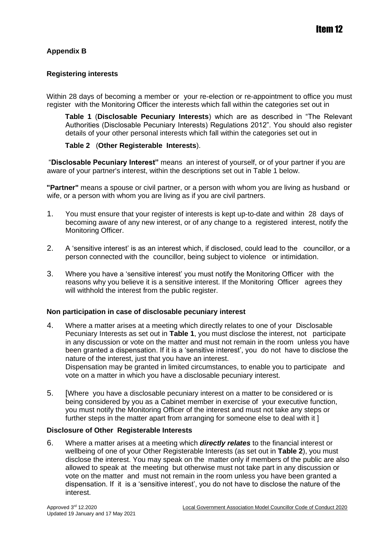#### **Appendix B**

#### **Registering interests**

Within 28 days of becoming a member or your re-election or re-appointment to office you must register with the Monitoring Officer the interests which fall within the categories set out in

**Table 1** (**Disclosable Pecuniary Interests**) which are as described in "The Relevant Authorities (Disclosable Pecuniary Interests) Regulations 2012". You should also register details of your other personal interests which fall within the categories set out in

#### **Table 2** (**Other Registerable Interests**).

"**Disclosable Pecuniary Interest"** means an interest of yourself, or of your partner if you are aware of your partner's interest, within the descriptions set out in Table 1 below.

**"Partner"** means a spouse or civil partner, or a person with whom you are living as husband or wife, or a person with whom you are living as if you are civil partners.

- 1. You must ensure that your register of interests is kept up-to-date and within 28 days of becoming aware of any new interest, or of any change to a registered interest, notify the Monitoring Officer.
- 2. A 'sensitive interest' is as an interest which, if disclosed, could lead to the councillor, or a person connected with the councillor, being subject to violence or intimidation.
- 3. Where you have a 'sensitive interest' you must notify the Monitoring Officer with the reasons why you believe it is a sensitive interest. If the Monitoring Officer agrees they will withhold the interest from the public register.

#### **Non participation in case of disclosable pecuniary interest**

- 4. Where a matter arises at a meeting which directly relates to one of your Disclosable Pecuniary Interests as set out in **Table 1**, you must disclose the interest, not participate in any discussion or vote on the matter and must not remain in the room unless you have been granted a dispensation. If it is a 'sensitive interest', you do not have to disclose the nature of the interest, just that you have an interest. Dispensation may be granted in limited circumstances, to enable you to participate and vote on a matter in which you have a disclosable pecuniary interest.
- 5. [Where you have a disclosable pecuniary interest on a matter to be considered or is being considered by you as a Cabinet member in exercise of your executive function, you must notify the Monitoring Officer of the interest and must not take any steps or further steps in the matter apart from arranging for someone else to deal with it ]

#### **Disclosure of Other Registerable Interests**

6. Where a matter arises at a meeting which *directly relates* to the financial interest or wellbeing of one of your Other Registerable Interests (as set out in **Table 2**), you must disclose the interest. You may speak on the matter only if members of the public are also allowed to speak at the meeting but otherwise must not take part in any discussion or vote on the matter and must not remain in the room unless you have been granted a dispensation. If it is a 'sensitive interest', you do not have to disclose the nature of the interest.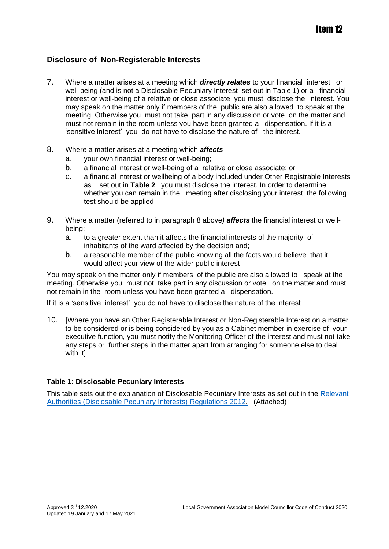#### **Disclosure of Non-Registerable Interests**

- 7. Where a matter arises at a meeting which *directly relates* to your financial interest or well-being (and is not a Disclosable Pecuniary Interest set out in Table 1) or a financial interest or well-being of a relative or close associate, you must disclose the interest. You may speak on the matter only if members of the public are also allowed to speak at the meeting. Otherwise you must not take part in any discussion or vote on the matter and must not remain in the room unless you have been granted a dispensation. If it is a 'sensitive interest', you do not have to disclose the nature of the interest.
- 8. Where a matter arises at a meeting which *affects*
	- a. your own financial interest or well-being;
	- b. a financial interest or well-being of a relative or close associate; or
	- c. a financial interest or wellbeing of a body included under Other Registrable Interests as set out in **Table 2** you must disclose the interest. In order to determine whether you can remain in the meeting after disclosing your interest the following test should be applied
- 9. Where a matter (referred to in paragraph 8 above*) affects* the financial interest or wellbeing:
	- a. to a greater extent than it affects the financial interests of the majority of inhabitants of the ward affected by the decision and;
	- b. a reasonable member of the public knowing all the facts would believe that it would affect your view of the wider public interest

You may speak on the matter only if members of the public are also allowed to speak at the meeting. Otherwise you must not take part in any discussion or vote on the matter and must not remain in the room unless you have been granted a dispensation.

If it is a 'sensitive interest', you do not have to disclose the nature of the interest.

10. [Where you have an Other Registerable Interest or Non-Registerable Interest on a matter to be considered or is being considered by you as a Cabinet member in exercise of your executive function, you must notify the Monitoring Officer of the interest and must not take any steps or further steps in the matter apart from arranging for someone else to deal with it]

#### **Table 1: Disclosable Pecuniary Interests**

This table sets out the explanation of Disclosable Pecuniary Interests as set out in the Relevant [Authorities](https://www.legislation.gov.uk/uksi/2012/1464/made) [\(Disclosable Pecuniary Interests\) Regulations](https://www.legislation.gov.uk/uksi/2012/1464/made) [2012.](https://www.legislation.gov.uk/uksi/2012/1464/made) (Attached)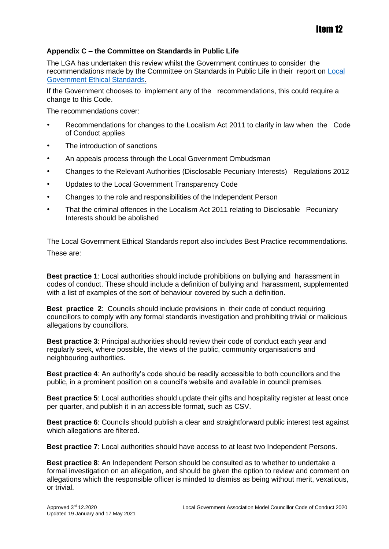### Item 12

#### **Appendix C – the Committee on Standards in Public Life**

The LGA has undertaken this review whilst the Government continues to consider the recommendations made by the Committee on Standards in Public Life in their report on [Local](https://www.gov.uk/government/publications/local-government-ethical-standards-report)  [Government Ethical Standards.](https://www.gov.uk/government/publications/local-government-ethical-standards-report)

If the Government chooses to implement any of the recommendations, this could require a change to this Code.

The recommendations cover:

- Recommendations for changes to the Localism Act 2011 to clarify in law when the Code of Conduct applies
- The introduction of sanctions
- An appeals process through the Local Government Ombudsman
- Changes to the Relevant Authorities (Disclosable Pecuniary Interests) Regulations 2012
- Updates to the Local Government Transparency Code
- Changes to the role and responsibilities of the Independent Person
- That the criminal offences in the Localism Act 2011 relating to Disclosable Pecuniary Interests should be abolished

The Local Government Ethical Standards report also includes Best Practice recommendations. These are:

**Best practice 1**: Local authorities should include prohibitions on bullying and harassment in codes of conduct. These should include a definition of bullying and harassment, supplemented with a list of examples of the sort of behaviour covered by such a definition.

**Best practice 2**: Councils should include provisions in their code of conduct requiring councillors to comply with any formal standards investigation and prohibiting trivial or malicious allegations by councillors.

**Best practice 3**: Principal authorities should review their code of conduct each year and regularly seek, where possible, the views of the public, community organisations and neighbouring authorities.

**Best practice 4**: An authority's code should be readily accessible to both councillors and the public, in a prominent position on a council's website and available in council premises.

**Best practice 5**: Local authorities should update their gifts and hospitality register at least once per quarter, and publish it in an accessible format, such as CSV.

**Best practice 6**: Councils should publish a clear and straightforward public interest test against which allegations are filtered.

**Best practice 7**: Local authorities should have access to at least two Independent Persons.

**Best practice 8**: An Independent Person should be consulted as to whether to undertake a formal investigation on an allegation, and should be given the option to review and comment on allegations which the responsible officer is minded to dismiss as being without merit, vexatious, or trivial.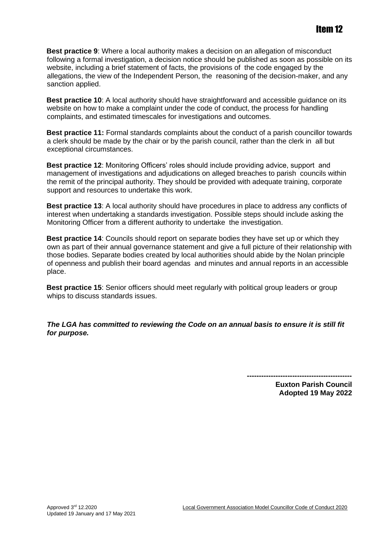**Best practice 9**: Where a local authority makes a decision on an allegation of misconduct following a formal investigation, a decision notice should be published as soon as possible on its website, including a brief statement of facts, the provisions of the code engaged by the allegations, the view of the Independent Person, the reasoning of the decision-maker, and any sanction applied.

**Best practice 10**: A local authority should have straightforward and accessible guidance on its website on how to make a complaint under the code of conduct, the process for handling complaints, and estimated timescales for investigations and outcomes.

**Best practice 11:** Formal standards complaints about the conduct of a parish councillor towards a clerk should be made by the chair or by the parish council, rather than the clerk in all but exceptional circumstances.

**Best practice 12**: Monitoring Officers' roles should include providing advice, support and management of investigations and adjudications on alleged breaches to parish councils within the remit of the principal authority. They should be provided with adequate training, corporate support and resources to undertake this work.

**Best practice 13**: A local authority should have procedures in place to address any conflicts of interest when undertaking a standards investigation. Possible steps should include asking the Monitoring Officer from a different authority to undertake the investigation.

**Best practice 14**: Councils should report on separate bodies they have set up or which they own as part of their annual governance statement and give a full picture of their relationship with those bodies. Separate bodies created by local authorities should abide by the Nolan principle of openness and publish their board agendas and minutes and annual reports in an accessible place.

**Best practice 15**: Senior officers should meet regularly with political group leaders or group whips to discuss standards issues.

*The LGA has committed to reviewing the Code on an annual basis to ensure it is still fit for purpose.*

**--------------------------------------------**

**Euxton Parish Council Adopted 19 May 2022**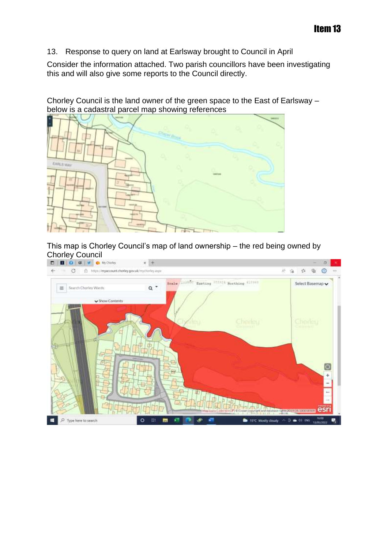13. Response to query on land at Earlsway brought to Council in April

Consider the information attached. Two parish councillors have been investigating this and will also give some reports to the Council directly.

Chorley Council is the land owner of the green space to the East of Earlsway – below is a cadastral parcel map showing references



This map is Chorley Council's map of land ownership – the red being owned by Chorley Council<br> **D D Q a C Q M** Charley

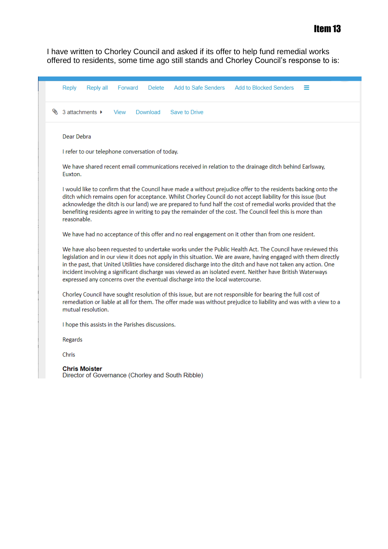I have written to Chorley Council and asked if its offer to help fund remedial works offered to residents, some time ago still stands and Chorley Council's response to is:

| Forward<br>Add to Safe Senders<br><b>Add to Blocked Senders</b><br>Reply<br>Reply all<br>Delete<br>≡                                                                                                                                                                                                                                                                                                                                                                                                                                             |  |  |  |  |
|--------------------------------------------------------------------------------------------------------------------------------------------------------------------------------------------------------------------------------------------------------------------------------------------------------------------------------------------------------------------------------------------------------------------------------------------------------------------------------------------------------------------------------------------------|--|--|--|--|
| § 3 attachments ▶<br>Download<br>Save to Drive<br>View                                                                                                                                                                                                                                                                                                                                                                                                                                                                                           |  |  |  |  |
| Dear Debra                                                                                                                                                                                                                                                                                                                                                                                                                                                                                                                                       |  |  |  |  |
| I refer to our telephone conversation of today.                                                                                                                                                                                                                                                                                                                                                                                                                                                                                                  |  |  |  |  |
| We have shared recent email communications received in relation to the drainage ditch behind Earlsway,<br>Euxton.                                                                                                                                                                                                                                                                                                                                                                                                                                |  |  |  |  |
| I would like to confirm that the Council have made a without prejudice offer to the residents backing onto the<br>ditch which remains open for acceptance. Whilst Chorley Council do not accept liability for this issue (but<br>acknowledge the ditch is our land) we are prepared to fund half the cost of remedial works provided that the<br>benefiting residents agree in writing to pay the remainder of the cost. The Council feel this is more than<br>reasonable.                                                                       |  |  |  |  |
| We have had no acceptance of this offer and no real engagement on it other than from one resident.                                                                                                                                                                                                                                                                                                                                                                                                                                               |  |  |  |  |
| We have also been requested to undertake works under the Public Health Act. The Council have reviewed this<br>legislation and in our view it does not apply in this situation. We are aware, having engaged with them directly<br>in the past, that United Utilities have considered discharge into the ditch and have not taken any action. One<br>incident involving a significant discharge was viewed as an isolated event. Neither have British Waterways<br>expressed any concerns over the eventual discharge into the local watercourse. |  |  |  |  |
| Chorley Council have sought resolution of this issue, but are not responsible for bearing the full cost of<br>remediation or liable at all for them. The offer made was without prejudice to liability and was with a view to a<br>mutual resolution.                                                                                                                                                                                                                                                                                            |  |  |  |  |
| I hope this assists in the Parishes discussions.                                                                                                                                                                                                                                                                                                                                                                                                                                                                                                 |  |  |  |  |
| Regards                                                                                                                                                                                                                                                                                                                                                                                                                                                                                                                                          |  |  |  |  |
| <b>Chris</b>                                                                                                                                                                                                                                                                                                                                                                                                                                                                                                                                     |  |  |  |  |
| <b>Chris Moister</b><br>Director of Governance (Chorley and South Ribble)                                                                                                                                                                                                                                                                                                                                                                                                                                                                        |  |  |  |  |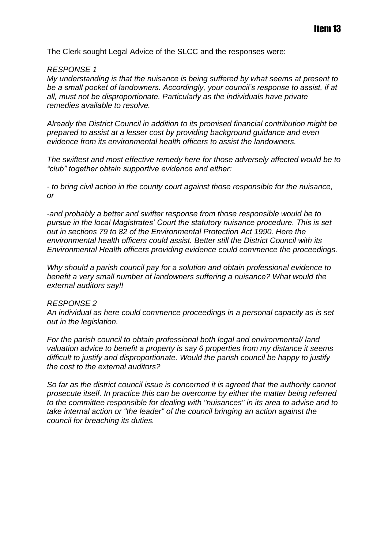The Clerk sought Legal Advice of the SLCC and the responses were:

#### *RESPONSE 1*

*My understanding is that the nuisance is being suffered by what seems at present to be a small pocket of landowners. Accordingly, your council's response to assist, if at all, must not be disproportionate. Particularly as the individuals have private remedies available to resolve.* 

*Already the District Council in addition to its promised financial contribution might be prepared to assist at a lesser cost by providing background guidance and even evidence from its environmental health officers to assist the landowners.*

*The swiftest and most effective remedy here for those adversely affected would be to "club" together obtain supportive evidence and either:*

*- to bring civil action in the county court against those responsible for the nuisance, or*

*-and probably a better and swifter response from those responsible would be to pursue in the local Magistrates' Court the statutory nuisance procedure. This is set out in sections 79 to 82 of the Environmental Protection Act 1990. Here the environmental health officers could assist. Better still the District Council with its Environmental Health officers providing evidence could commence the proceedings.*

*Why should a parish council pay for a solution and obtain professional evidence to benefit a very small number of landowners suffering a nuisance? What would the external auditors say!!*

#### *RESPONSE 2*

*An individual as here could commence proceedings in a personal capacity as is set out in the legislation.* 

*For the parish council to obtain professional both legal and environmental/ land valuation advice to benefit a property is say 6 properties from my distance it seems difficult to justify and disproportionate. Would the parish council be happy to justify the cost to the external auditors?*

*So far as the district council issue is concerned it is agreed that the authority cannot prosecute itself. In practice this can be overcome by either the matter being referred to the committee responsible for dealing with "nuisances" in its area to advise and to take internal action or "the leader" of the council bringing an action against the council for breaching its duties.*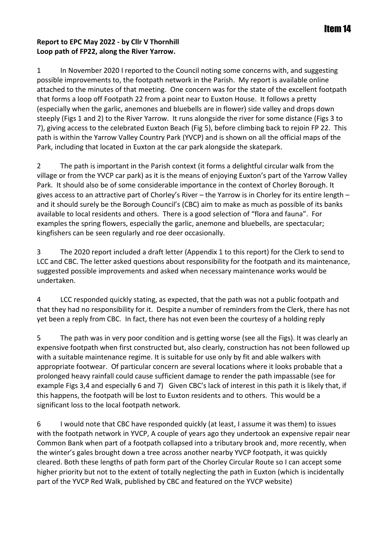#### **Report to EPC May 2022 - by Cllr V Thornhill Loop path of FP22, along the River Yarrow.**

1 In November 2020 I reported to the Council noting some concerns with, and suggesting possible improvements to, the footpath network in the Parish. My report is available online attached to the minutes of that meeting. One concern was for the state of the excellent footpath that forms a loop off Footpath 22 from a point near to Euxton House. It follows a pretty (especially when the garlic, anemones and bluebells are in flower) side valley and drops down steeply (Figs 1 and 2) to the River Yarrow. It runs alongside the river for some distance (Figs 3 to 7), giving access to the celebrated Euxton Beach (Fig 5), before climbing back to rejoin FP 22. This path is within the Yarrow Valley Country Park (YVCP) and is shown on all the official maps of the Park, including that located in Euxton at the car park alongside the skatepark.

2 The path is important in the Parish context (it forms a delightful circular walk from the village or from the YVCP car park) as it is the means of enjoying Euxton's part of the Yarrow Valley Park. It should also be of some considerable importance in the context of Chorley Borough. It gives access to an attractive part of Chorley's River – the Yarrow is in Chorley for its entire length – and it should surely be the Borough Council's (CBC) aim to make as much as possible of its banks available to local residents and others. There is a good selection of "flora and fauna". For examples the spring flowers, especially the garlic, anemone and bluebells, are spectacular; kingfishers can be seen regularly and roe deer occasionally.

3 The 2020 report included a draft letter (Appendix 1 to this report) for the Clerk to send to LCC and CBC. The letter asked questions about responsibility for the footpath and its maintenance, suggested possible improvements and asked when necessary maintenance works would be undertaken.

4 LCC responded quickly stating, as expected, that the path was not a public footpath and that they had no responsibility for it. Despite a number of reminders from the Clerk, there has not yet been a reply from CBC. In fact, there has not even been the courtesy of a holding reply

5 The path was in very poor condition and is getting worse (see all the Figs). It was clearly an expensive footpath when first constructed but, also clearly, construction has not been followed up with a suitable maintenance regime. It is suitable for use only by fit and able walkers with appropriate footwear. Of particular concern are several locations where it looks probable that a prolonged heavy rainfall could cause sufficient damage to render the path impassable (see for example Figs 3,4 and especially 6 and 7) Given CBC's lack of interest in this path it is likely that, if this happens, the footpath will be lost to Euxton residents and to others. This would be a significant loss to the local footpath network.

6 I would note that CBC have responded quickly (at least, I assume it was them) to issues with the footpath network in YVCP, A couple of years ago they undertook an expensive repair near Common Bank when part of a footpath collapsed into a tributary brook and, more recently, when the winter's gales brought down a tree across another nearby YVCP footpath, it was quickly cleared. Both these lengths of path form part of the Chorley Circular Route so I can accept some higher priority but not to the extent of totally neglecting the path in Euxton (which is incidentally part of the YVCP Red Walk, published by CBC and featured on the YVCP website)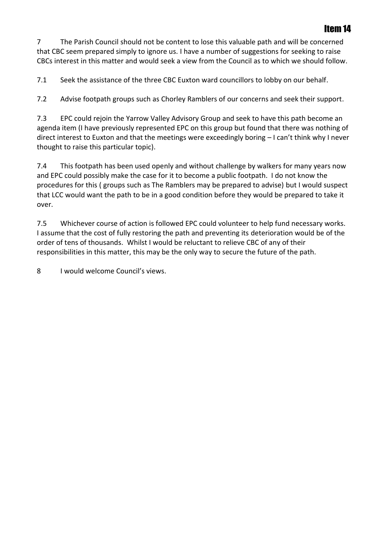### Item 14

7 The Parish Council should not be content to lose this valuable path and will be concerned that CBC seem prepared simply to ignore us. I have a number of suggestions for seeking to raise CBCs interest in this matter and would seek a view from the Council as to which we should follow.

7.1 Seek the assistance of the three CBC Euxton ward councillors to lobby on our behalf.

7.2 Advise footpath groups such as Chorley Ramblers of our concerns and seek their support.

7.3 EPC could rejoin the Yarrow Valley Advisory Group and seek to have this path become an agenda item (I have previously represented EPC on this group but found that there was nothing of direct interest to Euxton and that the meetings were exceedingly boring – I can't think why I never thought to raise this particular topic).

7.4 This footpath has been used openly and without challenge by walkers for many years now and EPC could possibly make the case for it to become a public footpath. I do not know the procedures for this ( groups such as The Ramblers may be prepared to advise) but I would suspect that LCC would want the path to be in a good condition before they would be prepared to take it over.

7.5 Whichever course of action is followed EPC could volunteer to help fund necessary works. I assume that the cost of fully restoring the path and preventing its deterioration would be of the order of tens of thousands. Whilst I would be reluctant to relieve CBC of any of their responsibilities in this matter, this may be the only way to secure the future of the path.

8 I would welcome Council's views.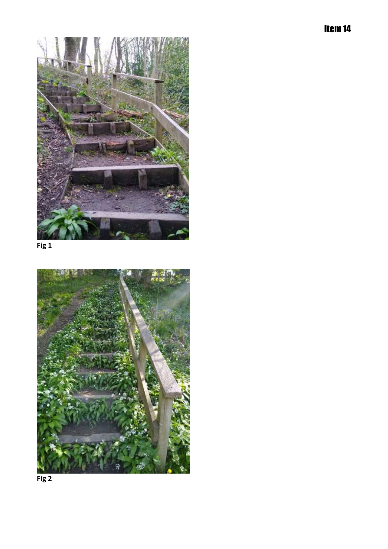

**Fig 1**



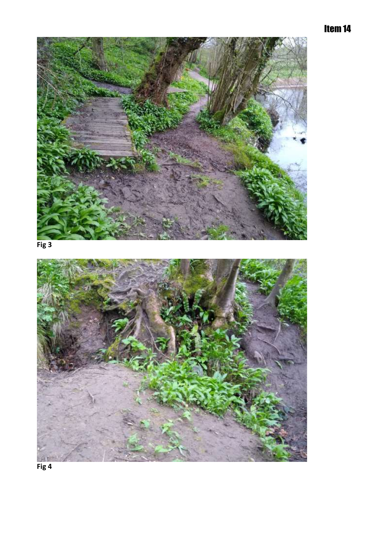## Item 14



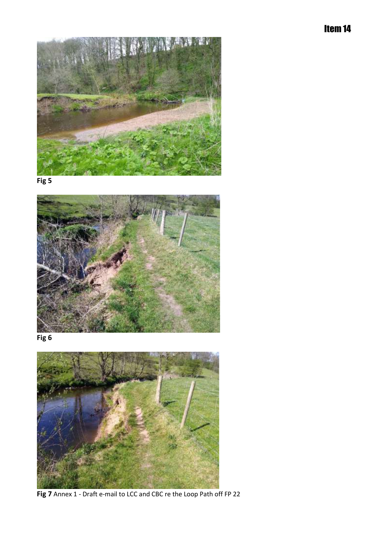Item 14



**Fig 5**

![](_page_23_Picture_3.jpeg)

**Fig 6**

![](_page_23_Picture_5.jpeg)

**Fig 7** Annex 1 - Draft e-mail to LCC and CBC re the Loop Path off FP 22